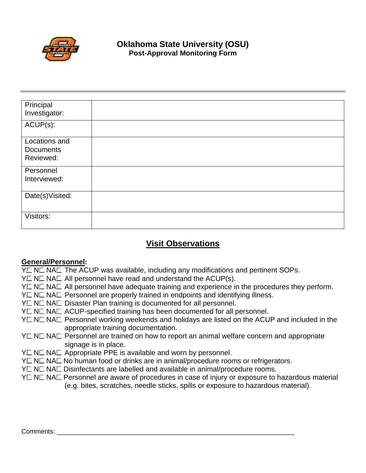

# **Oklahoma State University (OSU) Post-Approval Monitoring Form**

| Principal<br>Investigator: |  |
|----------------------------|--|
| ACUP(s):                   |  |
| Locations and              |  |
| <b>Documents</b>           |  |
| Reviewed:                  |  |
|                            |  |
| Personnel                  |  |
| Interviewed:               |  |
|                            |  |
| Date(s)Visited:            |  |
|                            |  |
| Visitors:                  |  |
|                            |  |

# **Visit Observations**

#### **General/Personnel:**

- $Y \square \nightharpoonup \square \nightharpoonup \square$  The ACUP was available, including any modifications and pertinent SOPs.
- $Y \square \nightharpoonup \mathbb{N} \square$  All personnel have read and understand the ACUP(s).
- $Y \square \nightharpoonup \square \blacksquare$  All personnel have adequate training and experience in the procedures they perform.
- $Y \square \nightharpoonup \square \nightharpoonup \square$  Personnel are properly trained in endpoints and identifying illness.
- $Y \square \nightharpoonup \square \square$  Disaster Plan training is documented for all personnel.
- $Y \square \nightharpoonup \square \nightharpoonup \triangle \square$  ACUP-specified training has been documented for all personnel.
- $Y\Box$  N $\Box$  NA $\Box$  Personnel working weekends and holidays are listed on the ACUP and included in the appropriate training documentation.
- $Y \square \nightharpoonup N \square$  Personnel are trained on how to report an animal welfare concern and appropriate signage is in place.
- $Y \square \nightharpoonup N \square$  Appropriate PPE is available and worn by personnel.
- Y IN NA No human food or drinks are in animal/procedure rooms or refrigerators.
- $Y \square \nightharpoonup \square$  NA $\square$  Disinfectants are labelled and available in animal/procedure rooms.
- $Y\Box$  N $\Box$  NA $\Box$  Personnel are aware of procedures in case of injury or exposure to hazardous material (e.g. bites, scratches, needle sticks, spills or exposure to hazardous material).

#### Comments: **with a comments**: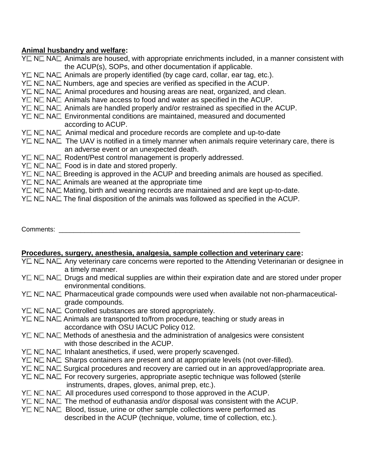### **Animal husbandry and welfare:**

 $Y \square \nightharpoonup \square$  Animals are housed, with appropriate enrichments included, in a manner consistent with the ACUP(s), SOPs, and other documentation if applicable.  $Y \square \nightharpoonup \square \nightharpoonup \square$  Animals are properly identified (by cage card, collar, ear tag, etc.).  $Y \square \nightharpoonup \square$  Na $\square$  Numbers, age and species are verified as specified in the ACUP.  $Y \square \nightharpoonup \square$  Animal procedures and housing areas are neat, organized, and clean.  $Y \square \nightharpoonup \square$  Animals have access to food and water as specified in the ACUP.  $Y \square \nightharpoonup \square$  Animals are handled properly and/or restrained as specified in the ACUP.  $Y\Box$  N $\Box$  NA $\Box$  Environmental conditions are maintained, measured and documented according to ACUP. YE NE NAE Animal medical and procedure records are complete and up-to-date  $Y \square \nightharpoonup N \square$  The UAV is notified in a timely manner when animals require veterinary care, there is an adverse event or an unexpected death.  $Y \square \nightharpoonup \text{NA} \square$  Rodent/Pest control management is properly addressed.  $Y \square \nightharpoonup \square \nightharpoonup \square$  Food is in date and stored properly.  $Y\Box$  N $\Box$  NA $\Box$  Breeding is approved in the ACUP and breeding animals are housed as specified.  $Y \square \nightharpoonup \square$  NA $\square$  Animals are weaned at the appropriate time  $Y \square \nightharpoonup N \square$  Mating, birth and weaning records are maintained and are kept up-to-date.  $Y \square \nightharpoonup \square \blacksquare$  The final disposition of the animals was followed as specified in the ACUP.

## Comments: \_\_\_\_\_\_\_\_\_\_\_\_\_\_\_\_\_\_\_\_\_\_\_\_\_\_\_\_\_\_\_\_\_\_\_\_\_\_\_\_\_\_\_\_\_\_\_\_\_\_\_\_\_\_\_\_\_\_\_\_\_\_\_\_\_\_

#### **Procedures, surgery, anesthesia, analgesia, sample collection and veterinary care:**

- $Y \square \nightharpoonup \square$  Any veterinary care concerns were reported to the Attending Veterinarian or designee in a timely manner.
- $Y \square \nightharpoonup \square$  NA $\square$  Drugs and medical supplies are within their expiration date and are stored under proper environmental conditions.
- $Y\Box$  N $\Box$  NA $\Box$  Pharmaceutical grade compounds were used when available not non-pharmaceuticalgrade compounds.
- $Y \square \nightharpoonup \square \square$  Controlled substances are stored appropriately.
- $Y \square \nightharpoonup \square$  Animals are transported to/from procedure, teaching or study areas in accordance with OSU IACUC Policy 012.
- $Y\Box$  N $\Box$  NA $\Box$  Methods of anesthesia and the administration of analgesics were consistent with those described in the ACUP.
- $Y \square \nightharpoonup \square$  Inhalant anesthetics, if used, were properly scavenged.
- $Y \square \nightharpoonup \square$  NA $\square$  Sharps containers are present and at appropriate levels (not over-filled).
- $Y \square \nightharpoonup \mathbb{N}$  N $\square$  Surgical procedures and recovery are carried out in an approved/appropriate area.
- $Y \square \nightharpoonup \square \nightharpoonup \square$  For recovery surgeries, appropriate aseptic technique was followed (sterile instruments, drapes, gloves, animal prep, etc.).
- $Y \square \nightharpoonup \square \blacksquare$  All procedures used correspond to those approved in the ACUP.
- $Y \square \nightharpoonup \square \nightharpoonup \square$  The method of euthanasia and/or disposal was consistent with the ACUP.
- $Y \square \nightharpoonup \square \nightharpoonup \square$  Blood, tissue, urine or other sample collections were performed as described in the ACUP (technique, volume, time of collection, etc.).